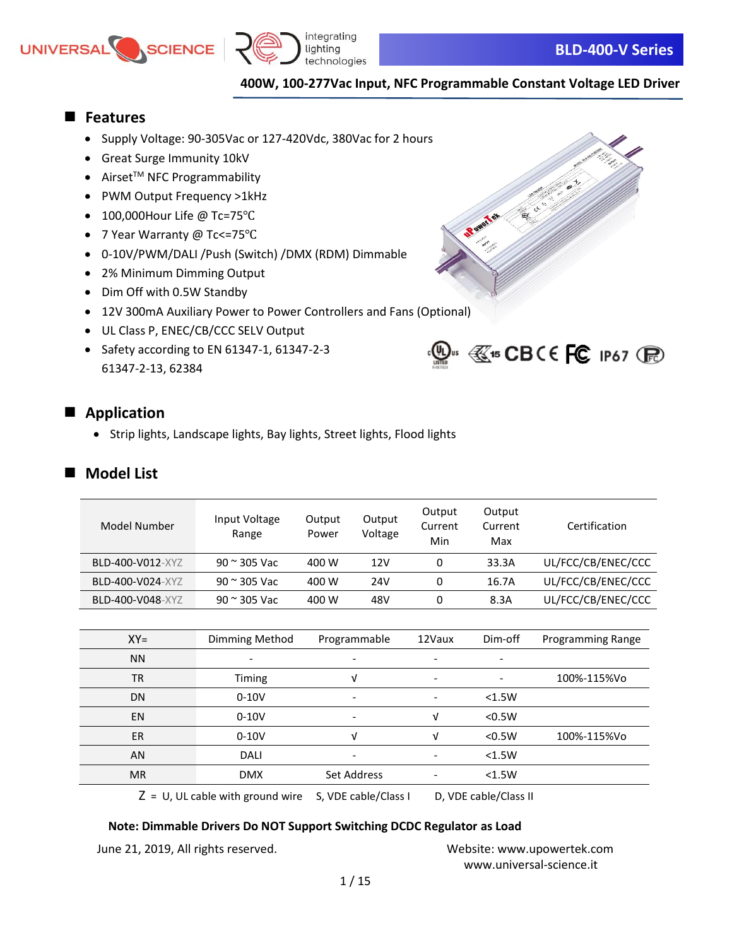



Rown Tel Co

 $\mathbb{Q}$ us  $\mathbb{C}$ 15 CBCE FC 1P67 (Fe)

### ■ **Features**

- Supply Voltage: 90-305Vac or 127-420Vdc, 380Vac for 2 hours
- Great Surge Immunity 10kV
- $\bullet$  Airset<sup>™</sup> NFC Programmability
- PWM Output Frequency >1kHz
- 100,000Hour Life @ Tc=75℃
- 7 Year Warranty @ Tc<=75℃
- 0-10V/PWM/DALI /Push (Switch) /DMX (RDM) Dimmable
- 2% Minimum Dimming Output
- Dim Off with 0.5W Standby
- 12V 300mA Auxiliary Power to Power Controllers and Fans (Optional)
- UL Class P, ENEC/CB/CCC SELV Output
- Safety according to EN 61347-1, 61347-2-3 61347-2-13, 62384



• Strip lights, Landscape lights, Bay lights, Street lights, Flood lights

## ■ **Model List**

| Model Number     | Input Voltage<br>Range | Output<br>Power | Output<br>Voltage | Output<br>Current<br>Min | Output<br>Current<br>Max | Certification      |
|------------------|------------------------|-----------------|-------------------|--------------------------|--------------------------|--------------------|
| BLD-400-V012-XYZ | $90 \approx 305$ Vac   | 400 W           | 12V               | 0                        | 33.3A                    | UL/FCC/CB/ENEC/CCC |
| BLD-400-V024-XYZ | $90 \approx 305$ Vac   | 400 W           | 24V               | 0                        | 16.7A                    | UL/FCC/CB/ENEC/CCC |
| BLD-400-V048-XYZ | $90 \approx 305$ Vac   | 400 W           | 48V               | 0                        | 8.3A                     | UL/FCC/CB/ENEC/CCC |

| $XY=$     | Dimming Method           | Programmable | 12Vaux                   | Dim-off                       | Programming Range |
|-----------|--------------------------|--------------|--------------------------|-------------------------------|-------------------|
| <b>NN</b> | $\overline{\phantom{a}}$ |              | $\overline{\phantom{a}}$ | $\overline{\phantom{a}}$      |                   |
| <b>TR</b> | <b>Timing</b>            | v            | $\overline{\phantom{a}}$ | $\qquad \qquad \blacksquare$  | 100%-115%Vo       |
| DN        | $0-10V$                  |              | $\overline{\phantom{a}}$ | < 1.5W                        |                   |
| <b>EN</b> | $0-10V$                  |              | V                        | < 0.5W                        |                   |
| <b>ER</b> | $0-10V$                  | v            | ν                        | < 0.5W                        | 100%-115%Vo       |
| AN        | <b>DALI</b>              |              | $\overline{\phantom{a}}$ | < 1.5W                        |                   |
| <b>MR</b> | <b>DMX</b>               | Set Address  | $\overline{\phantom{a}}$ | < 1.5W                        |                   |
|           |                          |              |                          | $N \sqrt{N}$ sakka $\sqrt{N}$ |                   |

 $Z = U$ , UL cable with ground wire S, VDE cable/Class I D, VDE cable/Class II

### **Note: Dimmable Drivers Do NOT Support Switching DCDC Regulator as Load**

June 21, 2019, All rights reserved. Website: [www.upowertek.com](http://www.upowertek.com/)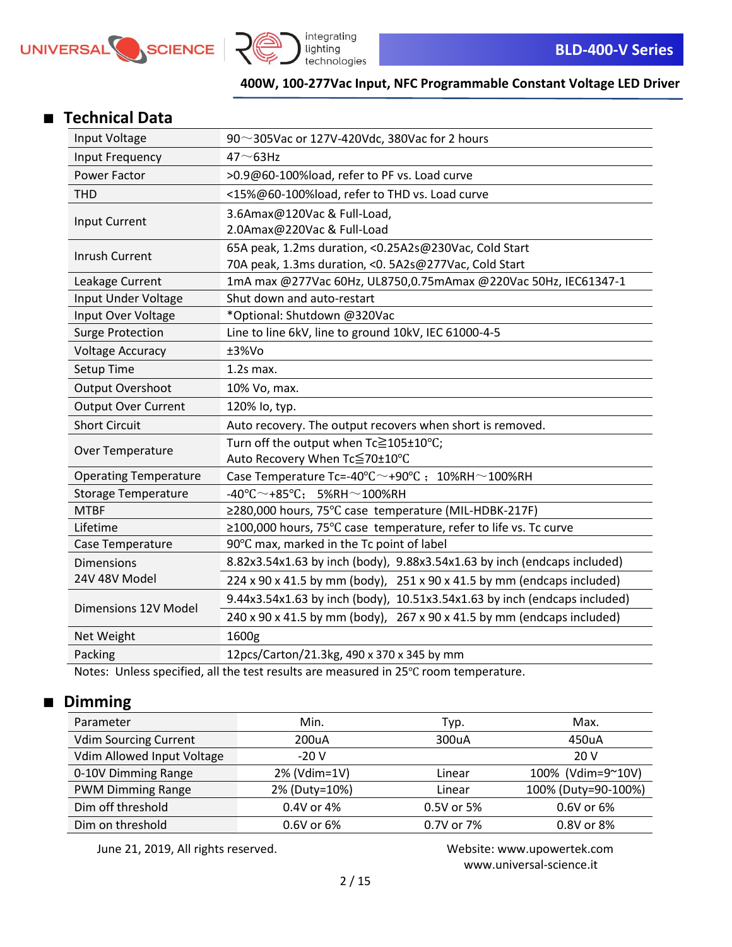



## ■ **Technical Data**

| Input Voltage                | 90 $\sim$ 305Vac or 127V-420Vdc, 380Vac for 2 hours                                            |  |  |  |
|------------------------------|------------------------------------------------------------------------------------------------|--|--|--|
| Input Frequency              | $47 \sim 63$ Hz                                                                                |  |  |  |
| Power Factor                 | >0.9@60-100%load, refer to PF vs. Load curve                                                   |  |  |  |
| <b>THD</b>                   | <15%@60-100%load, refer to THD vs. Load curve                                                  |  |  |  |
| Input Current                | 3.6Amax@120Vac & Full-Load,                                                                    |  |  |  |
|                              | 2.0Amax@220Vac & Full-Load                                                                     |  |  |  |
| <b>Inrush Current</b>        | 65A peak, 1.2ms duration, <0.25A2s@230Vac, Cold Start                                          |  |  |  |
|                              | 70A peak, 1.3ms duration, < 0. 5A2s@277Vac, Cold Start                                         |  |  |  |
| Leakage Current              | 1mA max @277Vac 60Hz, UL8750,0.75mAmax @220Vac 50Hz, IEC61347-1                                |  |  |  |
| Input Under Voltage          | Shut down and auto-restart                                                                     |  |  |  |
| Input Over Voltage           | *Optional: Shutdown @320Vac                                                                    |  |  |  |
| <b>Surge Protection</b>      | Line to line 6kV, line to ground 10kV, IEC 61000-4-5                                           |  |  |  |
| <b>Voltage Accuracy</b>      | ±3%Vo                                                                                          |  |  |  |
| Setup Time                   | $1.2s$ max.                                                                                    |  |  |  |
| <b>Output Overshoot</b>      | 10% Vo, max.                                                                                   |  |  |  |
| <b>Output Over Current</b>   | 120% lo, typ.                                                                                  |  |  |  |
| <b>Short Circuit</b>         | Auto recovery. The output recovers when short is removed.                                      |  |  |  |
| Over Temperature             | Turn off the output when Tc≧105±10°C;                                                          |  |  |  |
|                              | Auto Recovery When Tc≦70±10°C                                                                  |  |  |  |
| <b>Operating Temperature</b> | Case Temperature Tc=-40 $\degree$ C $\sim$ +90 $\degree$ C; 10%RH $\sim$ 100%RH                |  |  |  |
| <b>Storage Temperature</b>   | $-40^{\circ}$ C $\sim$ +85°C; 5%RH $\sim$ 100%RH                                               |  |  |  |
| <b>MTBF</b>                  | ≥280,000 hours, 75°C case temperature (MIL-HDBK-217F)                                          |  |  |  |
| Lifetime                     | ≥100,000 hours, 75°C case temperature, refer to life vs. Tc curve                              |  |  |  |
| Case Temperature             | 90°C max, marked in the Tc point of label                                                      |  |  |  |
| <b>Dimensions</b>            | 8.82x3.54x1.63 by inch (body), 9.88x3.54x1.63 by inch (endcaps included)                       |  |  |  |
| 24V 48V Model                | $224 \times 90 \times 41.5$ by mm (body), $251 \times 90 \times 41.5$ by mm (endcaps included) |  |  |  |
| Dimensions 12V Model         | 9.44x3.54x1.63 by inch (body), 10.51x3.54x1.63 by inch (endcaps included)                      |  |  |  |
|                              | 240 x 90 x 41.5 by mm (body), 267 x 90 x 41.5 by mm (endcaps included)                         |  |  |  |
| Net Weight                   | 1600g                                                                                          |  |  |  |
| Packing                      | 12pcs/Carton/21.3kg, 490 x 370 x 345 by mm                                                     |  |  |  |

Notes: Unless specified, all the test results are measured in 25℃ room temperature.

# ■ **Dimming**

| Parameter                    | Min.          | Typ.       | Max.                |
|------------------------------|---------------|------------|---------------------|
| <b>Vdim Sourcing Current</b> | 200uA         | 300uA      | 450uA               |
| Vdim Allowed Input Voltage   | $-20V$        |            | 20 V                |
| 0-10V Dimming Range          | 2% (Vdim=1V)  | Linear     | 100% (Vdim=9~10V)   |
| <b>PWM Dimming Range</b>     | 2% (Duty=10%) | Linear     | 100% (Duty=90-100%) |
| Dim off threshold            | 0.4V or 4%    | 0.5V or 5% | 0.6V or 6%          |
| Dim on threshold             | 0.6V or 6%    | 0.7V or 7% | 0.8V or 8%          |

June 21, 2019, All rights reserved. Website: [www.upowertek.com](http://www.upowertek.com/)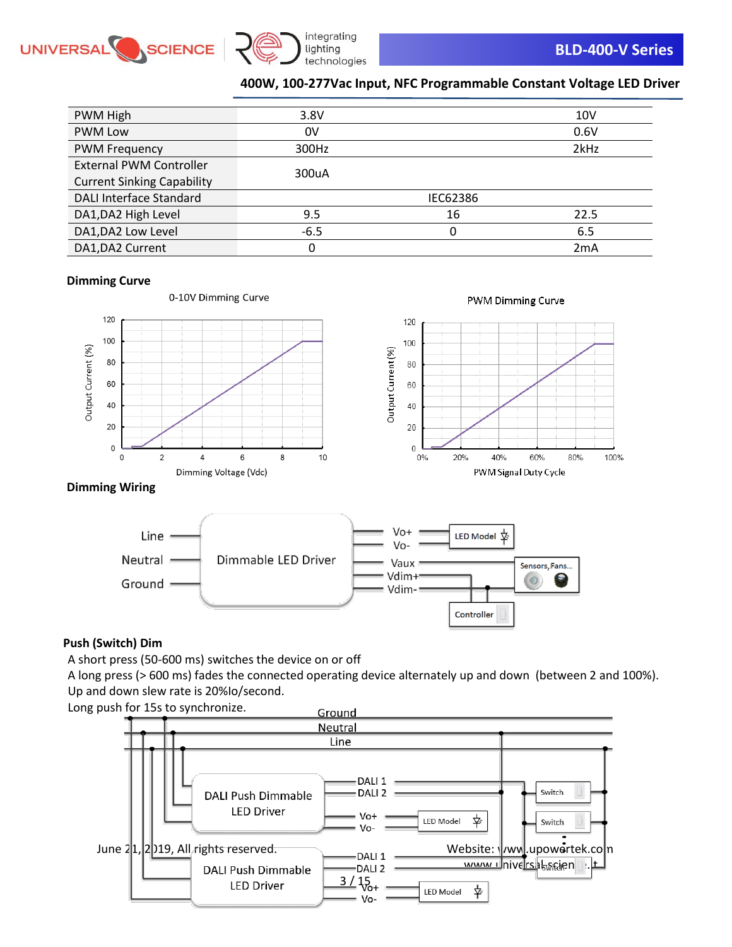



| PWM High                          | 3.8V   |          | 10 <sub>V</sub> |
|-----------------------------------|--------|----------|-----------------|
| <b>PWM Low</b>                    | 0V     |          | 0.6V            |
| <b>PWM Frequency</b>              | 300Hz  |          | 2kHz            |
| <b>External PWM Controller</b>    | 300uA  |          |                 |
| <b>Current Sinking Capability</b> |        |          |                 |
| DALI Interface Standard           |        | IEC62386 |                 |
| DA1, DA2 High Level               | 9.5    | 16       | 22.5            |
| DA1, DA2 Low Level                | $-6.5$ | 0        | 6.5             |
| DA1, DA2 Current                  | 0      |          | 2mA             |

#### **Dimming Curve**



### **Dimming Wiring**



### **Push (Switch) Dim**

A short press (50-600 ms) switches the device on or off

A long press (> 600 ms) fades the connected operating device alternately up and down (between 2 and 100%). Up and down slew rate is 20%Io/second.

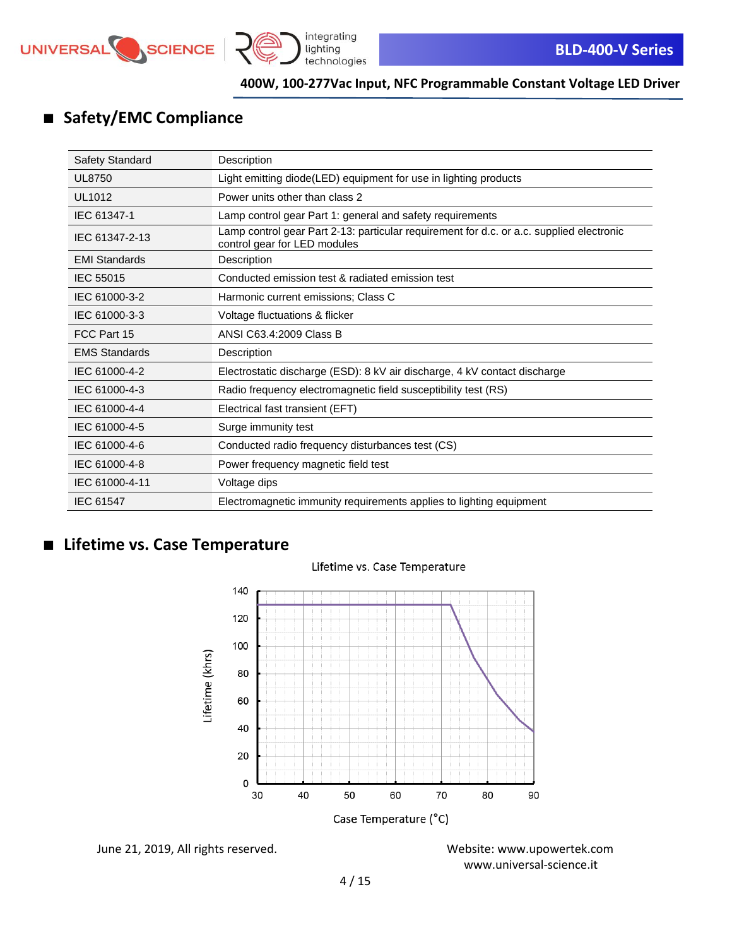



# ■ **Safety/EMC Compliance**

| Safety Standard      | Description                                                                                                              |
|----------------------|--------------------------------------------------------------------------------------------------------------------------|
| <b>UL8750</b>        | Light emitting diode(LED) equipment for use in lighting products                                                         |
| UL1012               | Power units other than class 2                                                                                           |
| IEC 61347-1          | Lamp control gear Part 1: general and safety requirements                                                                |
| IEC 61347-2-13       | Lamp control gear Part 2-13: particular requirement for d.c. or a.c. supplied electronic<br>control gear for LED modules |
| <b>EMI Standards</b> | Description                                                                                                              |
| <b>IEC 55015</b>     | Conducted emission test & radiated emission test                                                                         |
| IEC 61000-3-2        | Harmonic current emissions; Class C                                                                                      |
| IEC 61000-3-3        | Voltage fluctuations & flicker                                                                                           |
| FCC Part 15          | ANSI C63.4:2009 Class B                                                                                                  |
| <b>EMS Standards</b> | Description                                                                                                              |
| IEC 61000-4-2        | Electrostatic discharge (ESD): 8 kV air discharge, 4 kV contact discharge                                                |
| IEC 61000-4-3        | Radio frequency electromagnetic field susceptibility test (RS)                                                           |
| IEC 61000-4-4        | Electrical fast transient (EFT)                                                                                          |
| IEC 61000-4-5        | Surge immunity test                                                                                                      |
| IEC 61000-4-6        | Conducted radio frequency disturbances test (CS)                                                                         |
| IEC 61000-4-8        | Power frequency magnetic field test                                                                                      |
| IEC 61000-4-11       | Voltage dips                                                                                                             |
| IEC 61547            | Electromagnetic immunity requirements applies to lighting equipment                                                      |

# ■ **Lifetime vs. Case Temperature**



### Lifetime vs. Case Temperature

June 21, 2019, All rights reserved. Website: [www.upowertek.com](http://www.upowertek.com/)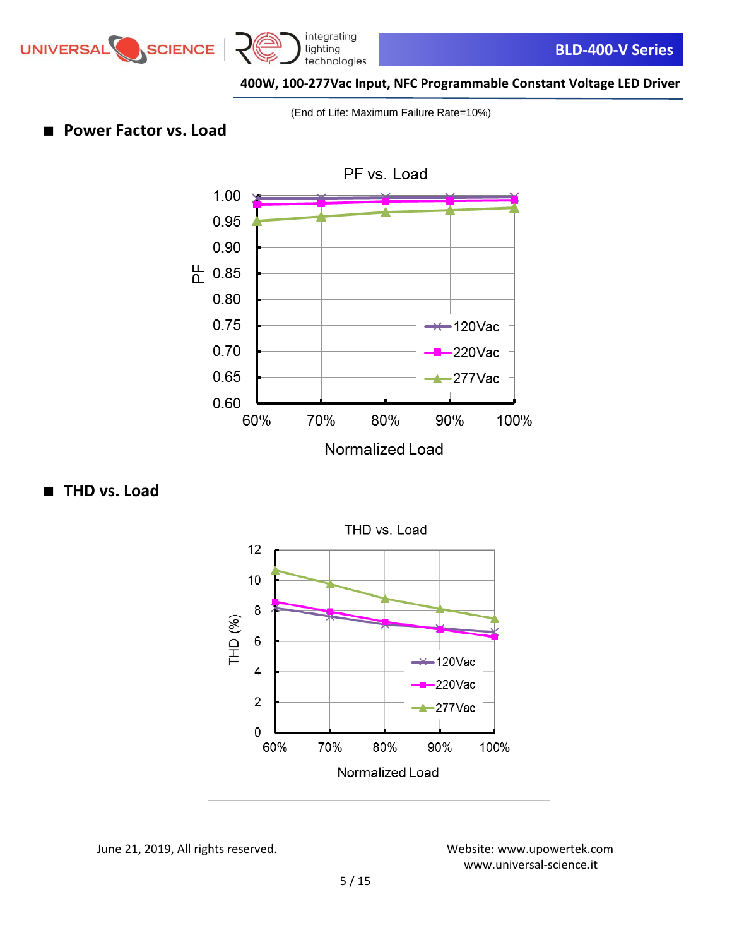





(End of Life: Maximum Failure Rate=10%)

■ **Power Factor vs. Load** 



■ **THD** vs. Load



June 21, 2019, All rights reserved. Website: [www.upowertek.com](http://www.upowertek.com/)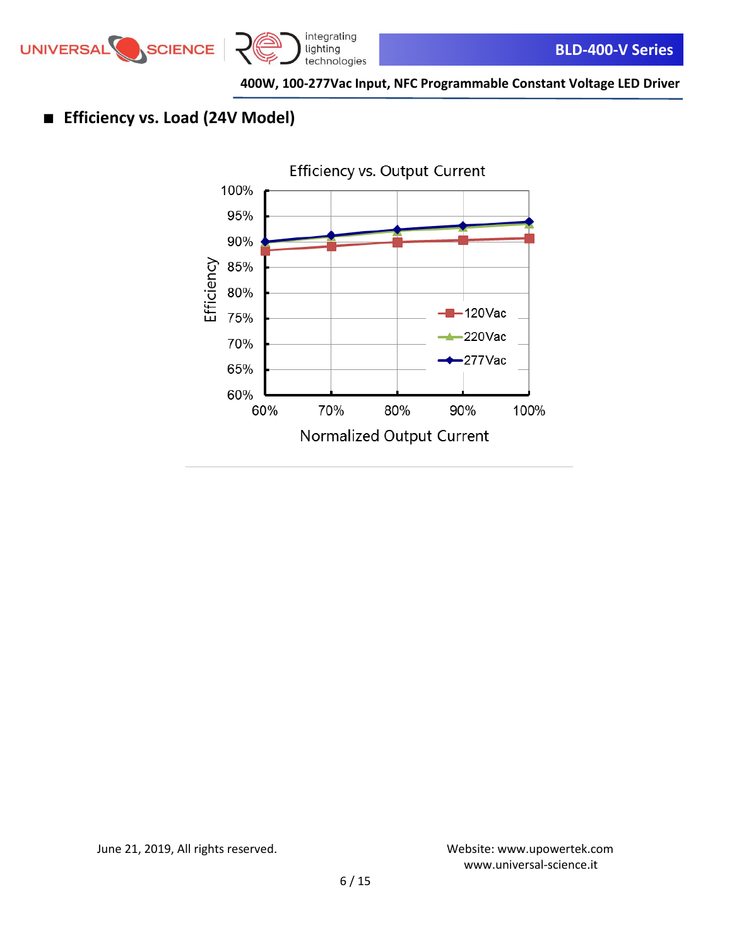

# ■ **Efficiency vs. Load (24V Model)**



June 21, 2019, All rights reserved. Website: [www.upowertek.com](http://www.upowertek.com/)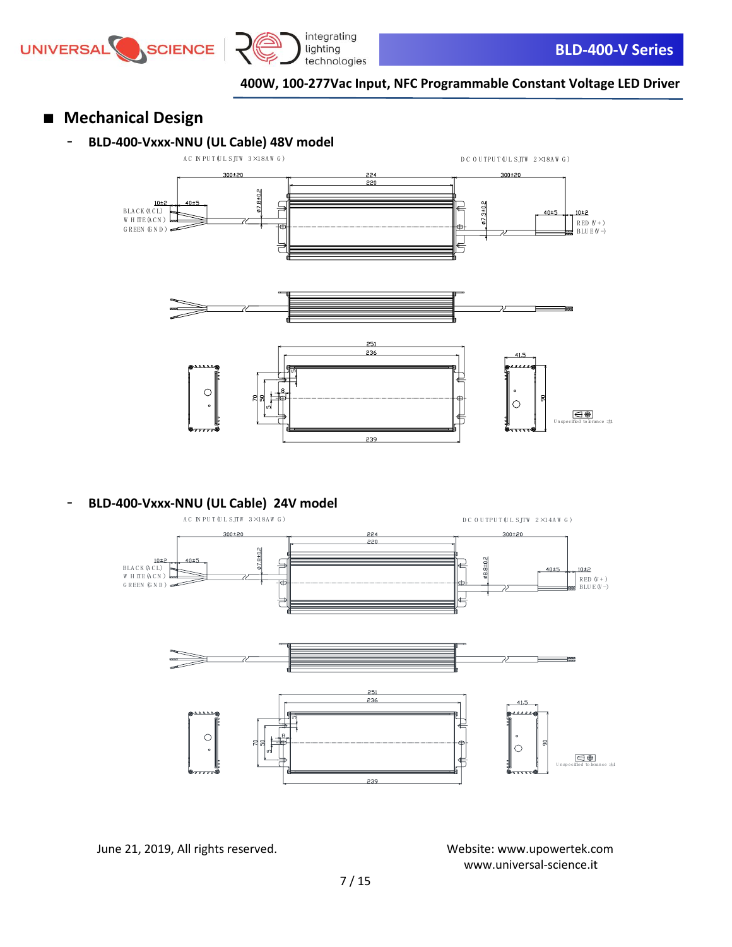





- **Mechanical Design**
	- **BLD-400-Vxxx-NNU (UL Cable) 48V model**



- **BLD-400-Vxxx-NNU (UL Cable) 24V model**



June 21, 2019, All rights reserved. Website: [www.upowertek.com](http://www.upowertek.com/)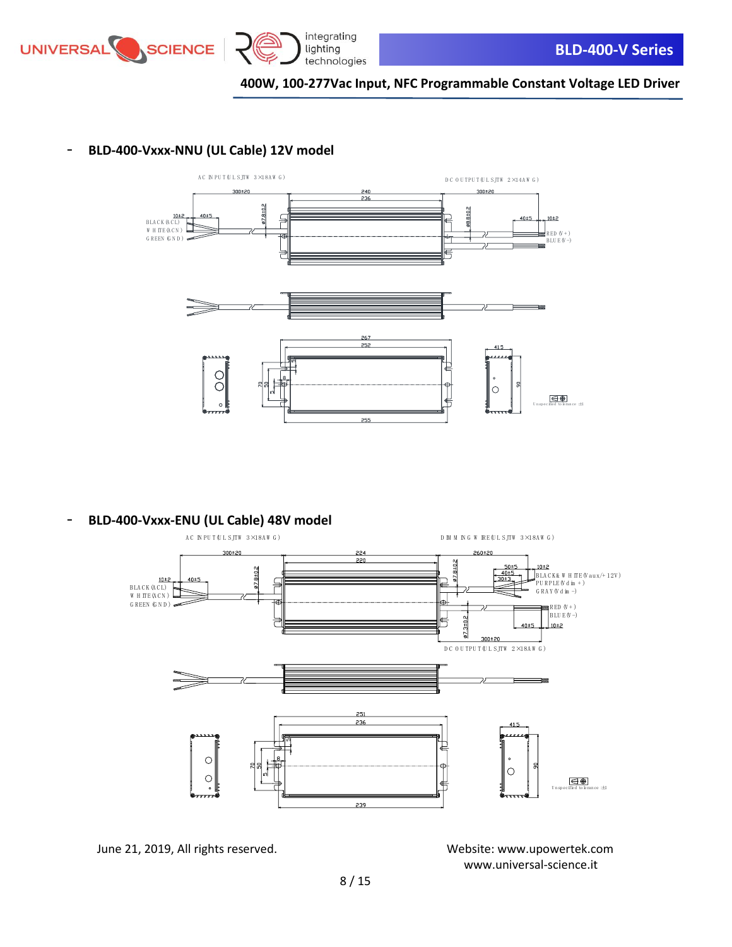



### - **BLD-400-Vxxx-NNU (UL Cable) 12V model**



- **BLD-400-Vxxx-ENU (UL Cable) 48V model**



June 21, 2019, All rights reserved. Website: [www.upowertek.com](http://www.upowertek.com/)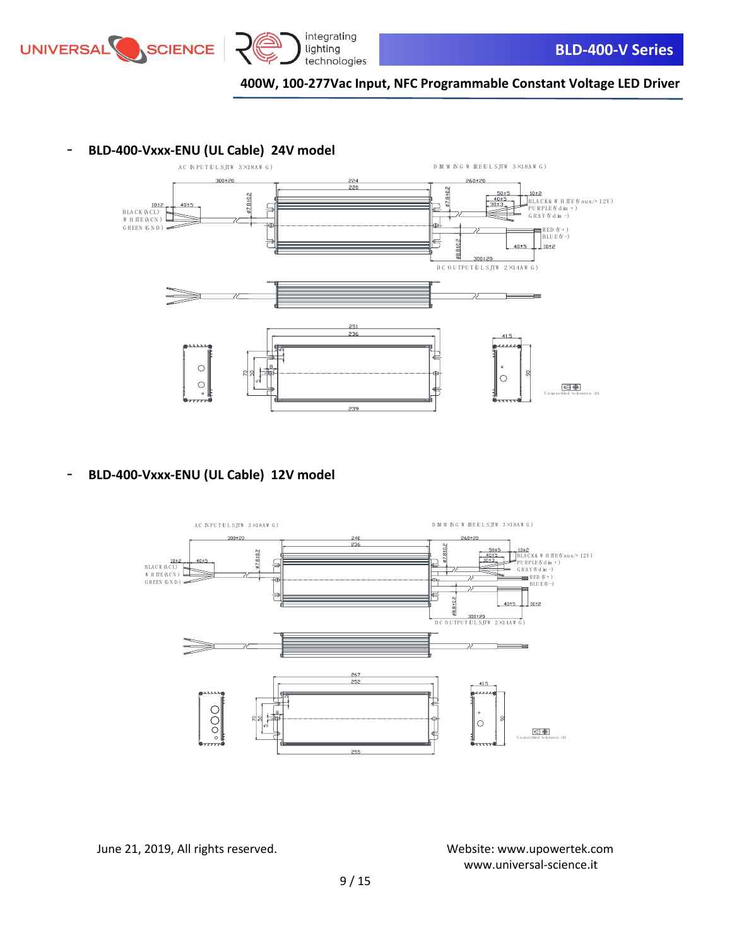



### - **BLD-400-Vxxx-ENU (UL Cable) 24V model**



- **BLD-400-Vxxx-ENU (UL Cable) 12V model**

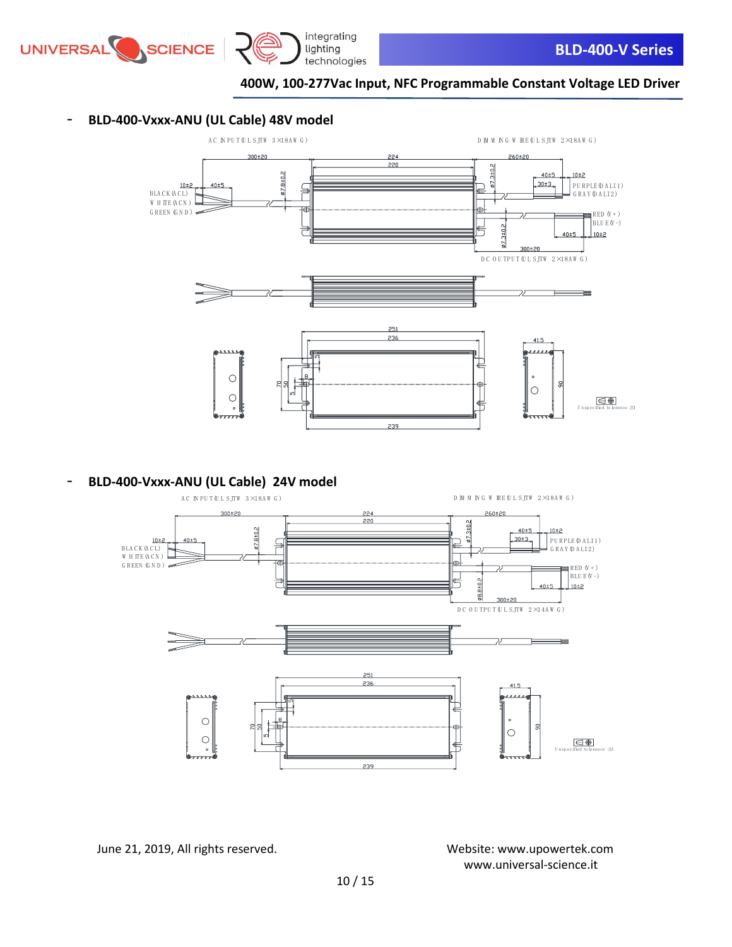

### - **BLD-400-Vxxx-ANU (UL Cable) 48V model**



- **BLD-400-Vxxx-ANU (UL Cable) 24V model**



June 21, 2019, All rights reserved. Website: [www.upowertek.com](http://www.upowertek.com/) [www.universal-science.it](https://www.universal-science.it/)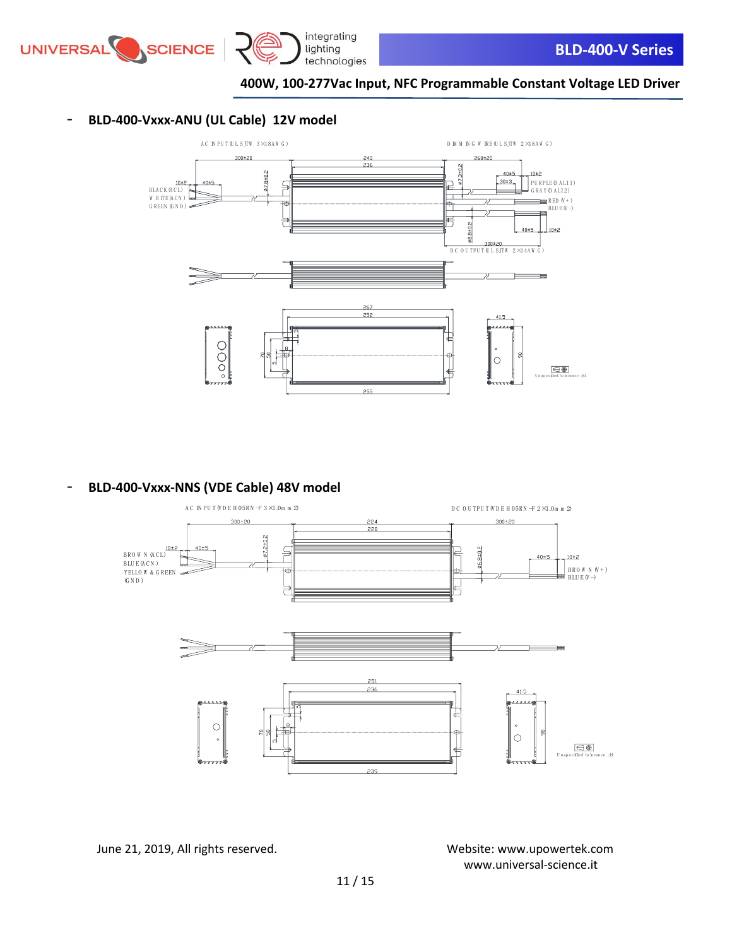

### - **BLD-400-Vxxx-ANU (UL Cable) 12V model**



- **BLD-400-Vxxx-NNS (VDE Cable) 48V model**



June 21, 2019, All rights reserved. Website: [www.upowertek.com](http://www.upowertek.com/)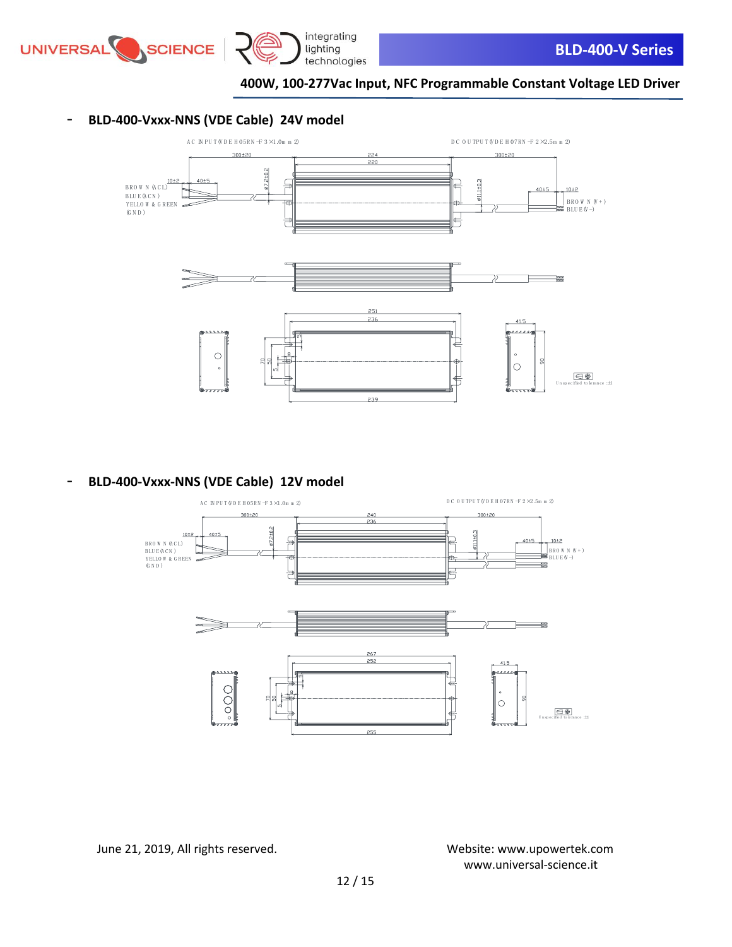

### - **BLD-400-Vxxx-NNS (VDE Cable) 24V model**



- **BLD-400-Vxxx-NNS (VDE Cable) 12V model**



June 21, 2019, All rights reserved. Website: [www.upowertek.com](http://www.upowertek.com/)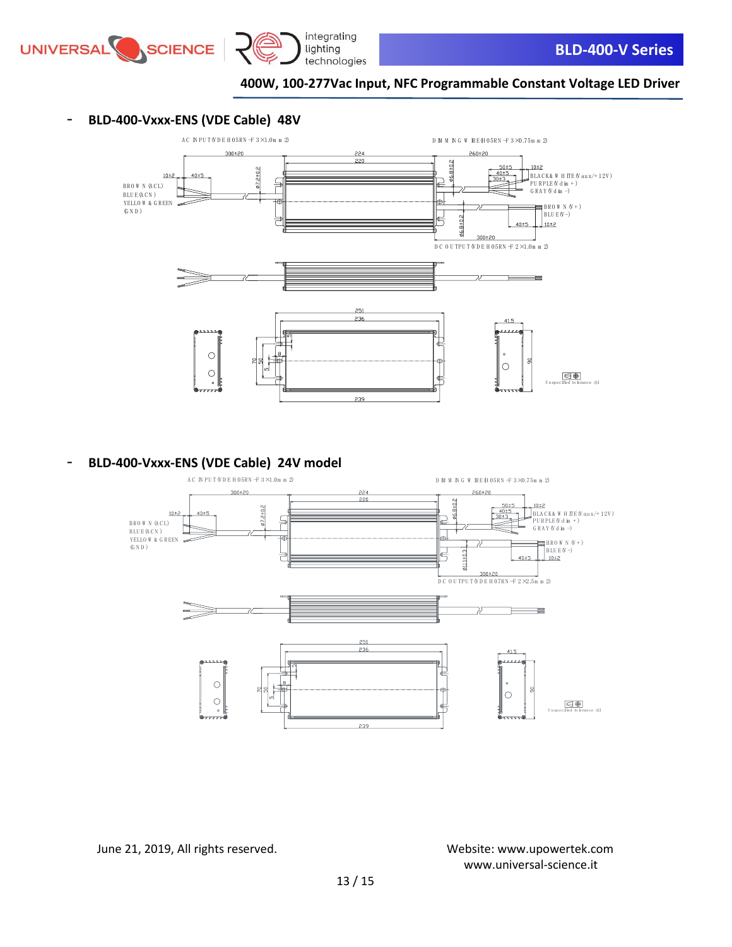



- **BLD-400-Vxxx-ENS (VDE Cable) 48V**



- **BLD-400-Vxxx-ENS (VDE Cable) 24V model**

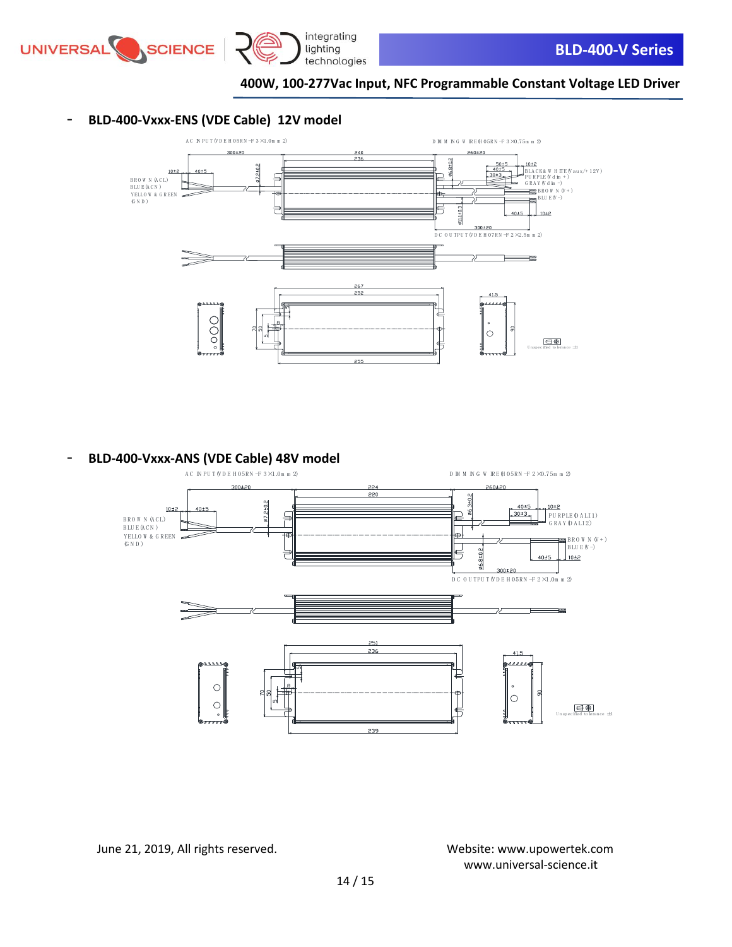

### - **BLD-400-Vxxx-ENS (VDE Cable) 12V model**



- **BLD-400-Vxxx-ANS (VDE Cable) 48V model**